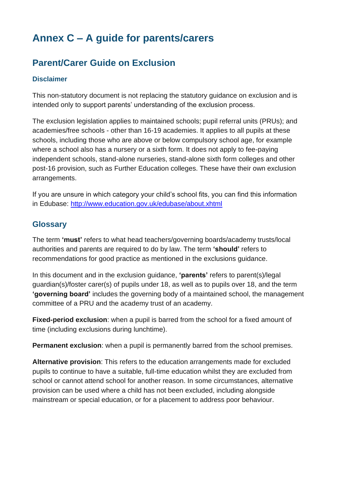# **Annex C – A guide for parents/carers**

# **Parent/Carer Guide on Exclusion**

## **Disclaimer**

This non-statutory document is not replacing the statutory guidance on exclusion and is intended only to support parents' understanding of the exclusion process.

The exclusion legislation applies to maintained schools; pupil referral units (PRUs); and academies/free schools - other than 16-19 academies. It applies to all pupils at these schools, including those who are above or below compulsory school age, for example where a school also has a nursery or a sixth form. It does not apply to fee-paying independent schools, stand-alone nurseries, stand-alone sixth form colleges and other post-16 provision, such as Further Education colleges. These have their own exclusion arrangements.

If you are unsure in which category your child's school fits, you can find this information in Edubase:<http://www.education.gov.uk/edubase/about.xhtml>

# **Glossary**

The term **'must'** refers to what head teachers/governing boards/academy trusts/local authorities and parents are required to do by law. The term **'should'** refers to recommendations for good practice as mentioned in the exclusions guidance.

In this document and in the exclusion guidance, **'parents'** refers to parent(s)/legal guardian(s)/foster carer(s) of pupils under 18, as well as to pupils over 18, and the term **'governing board'** includes the governing body of a maintained school, the management committee of a PRU and the academy trust of an academy.

**Fixed-period exclusion**: when a pupil is barred from the school for a fixed amount of time (including exclusions during lunchtime).

**Permanent exclusion**: when a pupil is permanently barred from the school premises.

**Alternative provision**: This refers to the education arrangements made for excluded pupils to continue to have a suitable, full-time education whilst they are excluded from school or cannot attend school for another reason. In some circumstances, alternative provision can be used where a child has not been excluded, including alongside mainstream or special education, or for a placement to address poor behaviour.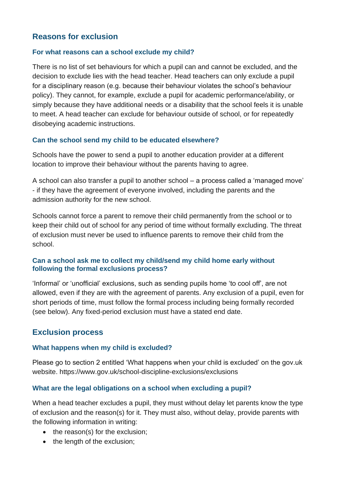# **Reasons for exclusion**

## **For what reasons can a school exclude my child?**

There is no list of set behaviours for which a pupil can and cannot be excluded, and the decision to exclude lies with the head teacher. Head teachers can only exclude a pupil for a disciplinary reason (e.g. because their behaviour violates the school's behaviour policy). They cannot, for example, exclude a pupil for academic performance/ability, or simply because they have additional needs or a disability that the school feels it is unable to meet. A head teacher can exclude for behaviour outside of school, or for repeatedly disobeying academic instructions.

# **Can the school send my child to be educated elsewhere?**

Schools have the power to send a pupil to another education provider at a different location to improve their behaviour without the parents having to agree.

A school can also transfer a pupil to another school – a process called a 'managed move' - if they have the agreement of everyone involved, including the parents and the admission authority for the new school.

Schools cannot force a parent to remove their child permanently from the school or to keep their child out of school for any period of time without formally excluding. The threat of exclusion must never be used to influence parents to remove their child from the school.

## **Can a school ask me to collect my child/send my child home early without following the formal exclusions process?**

'Informal' or 'unofficial' exclusions, such as sending pupils home 'to cool off', are not allowed, even if they are with the agreement of parents. Any exclusion of a pupil, even for short periods of time, must follow the formal process including being formally recorded (see below). Any fixed-period exclusion must have a stated end date.

# **Exclusion process**

## **What happens when my child is excluded?**

Please go to section 2 entitled 'What happens when your child is excluded' on the gov.uk website. https:/[/www.gov.uk/school-discipline-exclusions/exclusions](http://www.gov.uk/school-discipline-exclusions/exclusions)

# **What are the legal obligations on a school when excluding a pupil?**

When a head teacher excludes a pupil, they must without delay let parents know the type of exclusion and the reason(s) for it. They must also, without delay, provide parents with the following information in writing:

- the reason(s) for the exclusion;
- the length of the exclusion;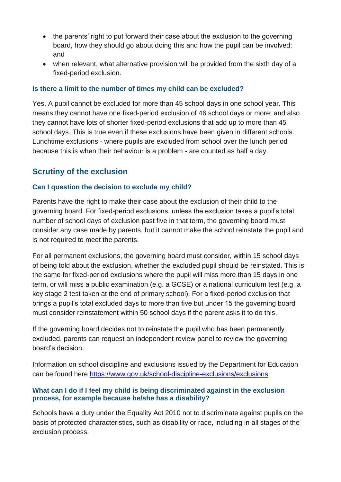- the parents' right to put forward their case about the exclusion to the governing board, how they should go about doing this and how the pupil can be involved; and
- when relevant, what alternative provision will be provided from the sixth day of a fixed-period exclusion.

## **Is there a limit to the number of times my child can be excluded?**

Yes. A pupil cannot be excluded for more than 45 school days in one school year. This means they cannot have one fixed-period exclusion of 46 school days or more; and also they cannot have lots of shorter fixed-period exclusions that add up to more than 45 school days. This is true even if these exclusions have been given in different schools. Lunchtime exclusions - where pupils are excluded from school over the lunch period because this is when their behaviour is a problem - are counted as half a day.

# **Scrutiny of the exclusion**

# **Can I question the decision to exclude my child?**

Parents have the right to make their case about the exclusion of their child to the governing board. For fixed-period exclusions, unless the exclusion takes a pupil's total number of school days of exclusion past five in that term, the governing board must consider any case made by parents, but it cannot make the school reinstate the pupil and is not required to meet the parents.

For all permanent exclusions, the governing board must consider, within 15 school days of being told about the exclusion, whether the excluded pupil should be reinstated. This is the same for fixed-period exclusions where the pupil will miss more than 15 days in one term, or will miss a public examination (e.g. a GCSE) or a national curriculum test (e.g. a key stage 2 test taken at the end of primary school). For a fixed-period exclusion that brings a pupil's total excluded days to more than five but under 15 the governing board must consider reinstatement within 50 school days if the parent asks it to do this.

If the governing board decides not to reinstate the pupil who has been permanently excluded, parents can request an independent review panel to review the governing board's decision.

Information on school discipline and exclusions issued by the Department for Education can be found here<https://www.gov.uk/school-discipline-exclusions/exclusions>.

## **What can I do if I feel my child is being discriminated against in the exclusion process, for example because he/she has a disability?**

Schools have a duty under the Equality Act 2010 not to discriminate against pupils on the basis of protected characteristics, such as disability or race, including in all stages of the exclusion process.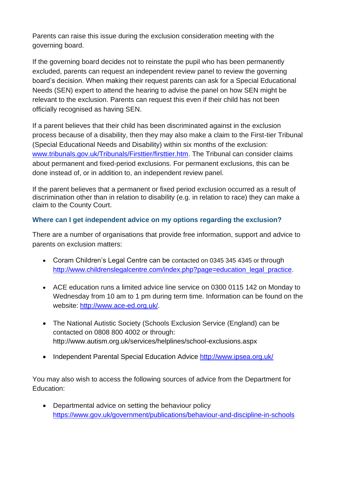Parents can raise this issue during the exclusion consideration meeting with the governing board.

If the governing board decides not to reinstate the pupil who has been permanently excluded, parents can request an independent review panel to review the governing board's decision. When making their request parents can ask for a Special Educational Needs (SEN) expert to attend the hearing to advise the panel on how SEN might be relevant to the exclusion. Parents can request this even if their child has not been officially recognised as having SEN.

If a parent believes that their child has been discriminated against in the exclusion process because of a disability, then they may also make a claim to the First-tier Tribunal (Special Educational Needs and Disability) within six months of the exclusion: [www.tribunals.gov.uk/Tribunals/Firsttier/firsttier.htm.](http://www.tribunals.gov.uk/Tribunals/Firsttier/firsttier.htm) The Tribunal can consider claims about permanent and fixed-period exclusions. For permanent exclusions, this can be done instead of, or in addition to, an independent review panel.

If the parent believes that a permanent or fixed period exclusion occurred as a result of discrimination other than in relation to disability (e.g. in relation to race) they can make a claim to the County Court.

# **Where can I get independent advice on my options regarding the exclusion?**

There are a number of organisations that provide free information, support and advice to parents on exclusion matters:

- Coram Children's Legal Centre can be contacted on 0345 345 4345 or through [http://www.childrenslegalcentre.com/index.php?page=education\\_legal\\_practice](http://www.childrenslegalcentre.com/index.php?page=education_legal_practice)[.](http://www.childrenslegalcentre.com/index.php?page=education_legal_practice)
- ACE education runs a limited advice line service on 0300 0115 142 on Monday to Wednesday from 10 am to 1 pm during term time. Information can be found on the website: [http://www.ace-ed.org.uk/.](http://www.ace-ed.org.uk/)
- The National Autistic Society (Schools Exclusion Service (England) can be contacted on 0808 800 4002 or through: <http://www.autism.org.uk/services/helplines/school-exclusions.aspx>
- Independent Parental Special Education Advice <http://www.ipsea.org.uk/>

You may also wish to access the following sources of advice from the Department for Education:

• Departmental advice on setting the behaviour policy <https://www.gov.uk/government/publications/behaviour-and-discipline-in-schools>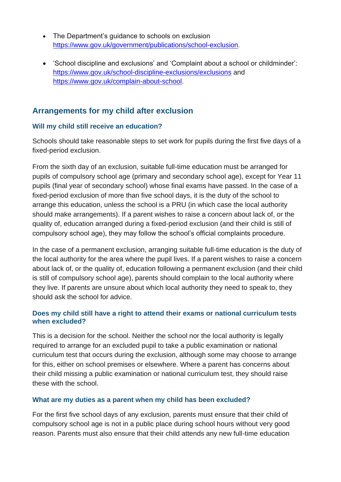- The Department's guidance to schools on exclusion <https://www.gov.uk/government/publications/school-exclusion>[.](https://www.gov.uk/government/publications/school-exclusion)
- 'School discipline and exclusions' and 'Complaint about a school or childminder': <https://www.gov.uk/school-discipline-exclusions/exclusions> and https:/[/www.gov.uk/complain-about-school.](http://www.gov.uk/complain-about-school)

# **Arrangements for my child after exclusion**

# **Will my child still receive an education?**

Schools should take reasonable steps to set work for pupils during the first five days of a fixed-period exclusion.

From the sixth day of an exclusion, suitable full-time education must be arranged for pupils of compulsory school age (primary and secondary school age), except for Year 11 pupils (final year of secondary school) whose final exams have passed. In the case of a fixed-period exclusion of more than five school days, it is the duty of the school to arrange this education, unless the school is a PRU (in which case the local authority should make arrangements). If a parent wishes to raise a concern about lack of, or the quality of, education arranged during a fixed-period exclusion (and their child is still of compulsory school age), they may follow the school's official complaints procedure.

In the case of a permanent exclusion, arranging suitable full-time education is the duty of the local authority for the area where the pupil lives. If a parent wishes to raise a concern about lack of, or the quality of, education following a permanent exclusion (and their child is still of compulsory school age), parents should complain to the local authority where they live. If parents are unsure about which local authority they need to speak to, they should ask the school for advice.

## **Does my child still have a right to attend their exams or national curriculum tests when excluded?**

This is a decision for the school. Neither the school nor the local authority is legally required to arrange for an excluded pupil to take a public examination or national curriculum test that occurs during the exclusion, although some may choose to arrange for this, either on school premises or elsewhere. Where a parent has concerns about their child missing a public examination or national curriculum test, they should raise these with the school.

# **What are my duties as a parent when my child has been excluded?**

For the first five school days of any exclusion, parents must ensure that their child of compulsory school age is not in a public place during school hours without very good reason. Parents must also ensure that their child attends any new full-time education